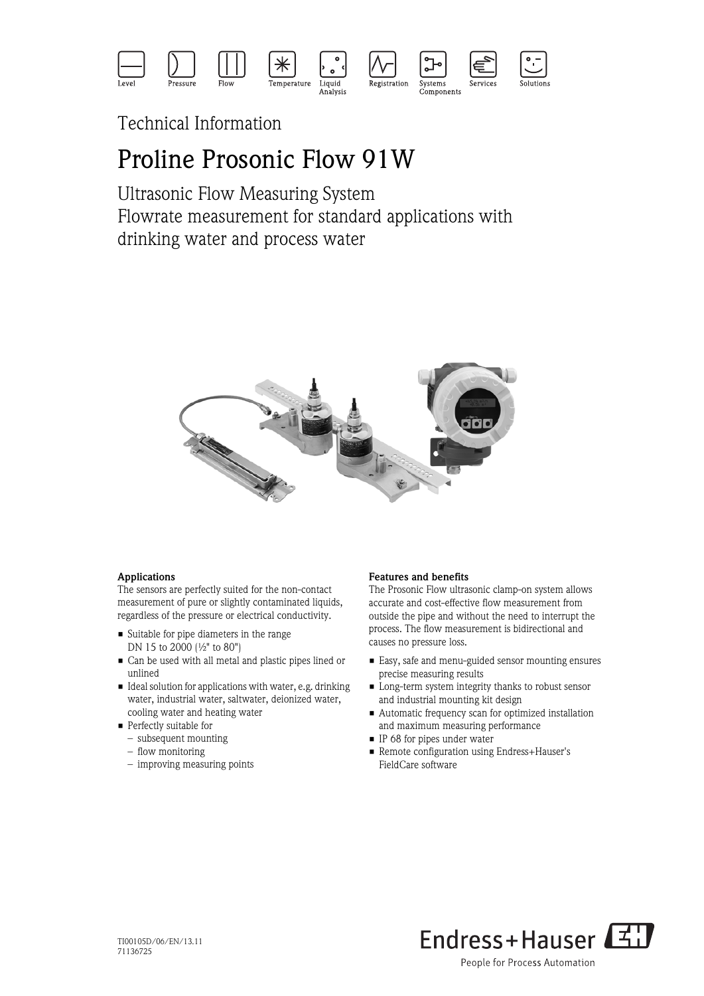

Technical Information

# Proline Prosonic Flow 91W

Ultrasonic Flow Measuring System Flowrate measurement for standard applications with drinking water and process water



### Applications

The sensors are perfectly suited for the non-contact measurement of pure or slightly contaminated liquids, regardless of the pressure or electrical conductivity.

- Suitable for pipe diameters in the range DN 15 to 2000 (½" to 80")
- Can be used with all metal and plastic pipes lined or unlined
- Ideal solution for applications with water, e.g. drinking water, industrial water, saltwater, deionized water, cooling water and heating water
- **Perfectly suitable for** 
	- subsequent mounting
	- flow monitoring
	- improving measuring points

### Features and benefits

The Prosonic Flow ultrasonic clamp-on system allows accurate and cost-effective flow measurement from outside the pipe and without the need to interrupt the process. The flow measurement is bidirectional and causes no pressure loss.

- Easy, safe and menu-guided sensor mounting ensures precise measuring results
- Long-term system integrity thanks to robust sensor and industrial mounting kit design
- Automatic frequency scan for optimized installation and maximum measuring performance
- IP 68 for pipes under water
- Remote configuration using Endress+Hauser's FieldCare software

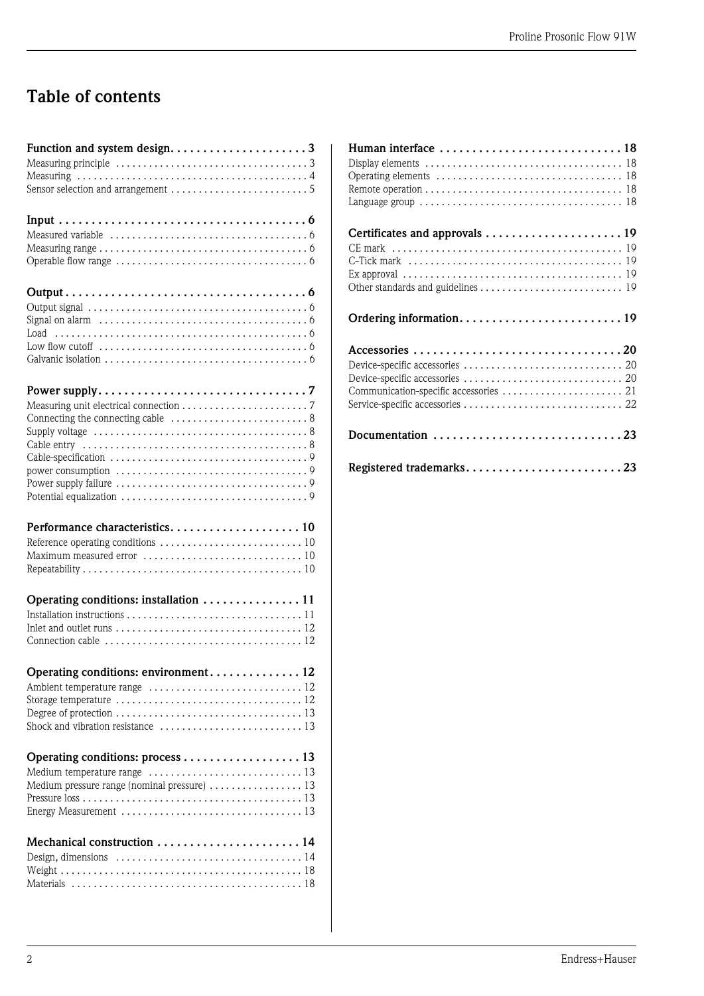# Table of contents

| Function and system design3                                                         |
|-------------------------------------------------------------------------------------|
|                                                                                     |
|                                                                                     |
|                                                                                     |
|                                                                                     |
|                                                                                     |
|                                                                                     |
|                                                                                     |
|                                                                                     |
|                                                                                     |
|                                                                                     |
|                                                                                     |
|                                                                                     |
|                                                                                     |
|                                                                                     |
|                                                                                     |
|                                                                                     |
|                                                                                     |
|                                                                                     |
|                                                                                     |
|                                                                                     |
|                                                                                     |
|                                                                                     |
|                                                                                     |
|                                                                                     |
|                                                                                     |
|                                                                                     |
|                                                                                     |
|                                                                                     |
| Performance characteristics 10                                                      |
|                                                                                     |
|                                                                                     |
|                                                                                     |
|                                                                                     |
| Operating conditions: installation  11                                              |
|                                                                                     |
|                                                                                     |
|                                                                                     |
|                                                                                     |
| Operating conditions: environment 12                                                |
|                                                                                     |
|                                                                                     |
|                                                                                     |
| Shock and vibration resistance $\ldots, \ldots, \ldots, \ldots, \ldots, \ldots, 13$ |
|                                                                                     |
|                                                                                     |
|                                                                                     |
| Medium pressure range (nominal pressure)  13                                        |
|                                                                                     |
|                                                                                     |
|                                                                                     |
| Mechanical construction  14                                                         |
|                                                                                     |
|                                                                                     |

| Human interface $\dots\dots\dots\dots\dots\dots\dots\dots\dots\dots$ |
|----------------------------------------------------------------------|
|                                                                      |
|                                                                      |
|                                                                      |
| Documentation 23                                                     |
| Registered trademarks23                                              |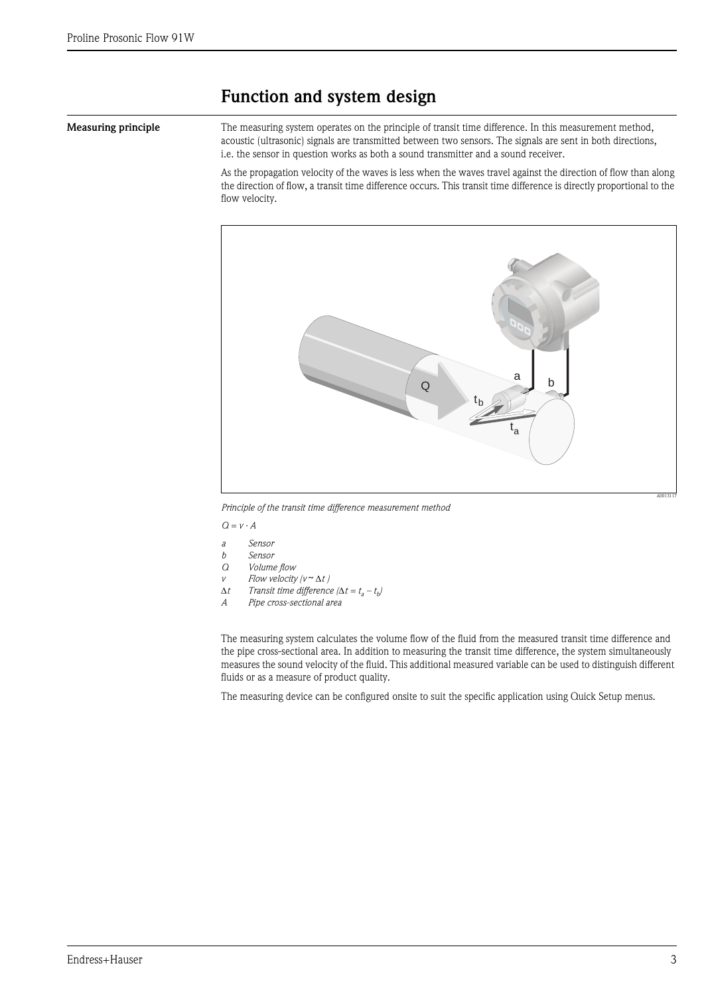## <span id="page-2-0"></span>Function and system design

<span id="page-2-1"></span>Measuring principle The measuring system operates on the principle of transit time difference. In this measurement method, acoustic (ultrasonic) signals are transmitted between two sensors. The signals are sent in both directions, i.e. the sensor in question works as both a sound transmitter and a sound receiver.

> As the propagation velocity of the waves is less when the waves travel against the direction of flow than along the direction of flow, a transit time difference occurs. This transit time difference is directly proportional to the flow velocity.



*Principle of the transit time difference measurement method*

 $Q = v \cdot A$ 

- *a Sensor*
- *b Sensor*
- *Q Volume flow*
- *v*  $Flow$  *velocity (v* $\sim \Delta t$ )
- $\Delta t$  *Transit time difference*  $(\Delta t = t_a t_b)$ <br>*A Pine cross-sectional area*
- *A Pipe cross-sectional area*

The measuring system calculates the volume flow of the fluid from the measured transit time difference and the pipe cross-sectional area. In addition to measuring the transit time difference, the system simultaneously measures the sound velocity of the fluid. This additional measured variable can be used to distinguish different fluids or as a measure of product quality.

The measuring device can be configured onsite to suit the specific application using Quick Setup menus.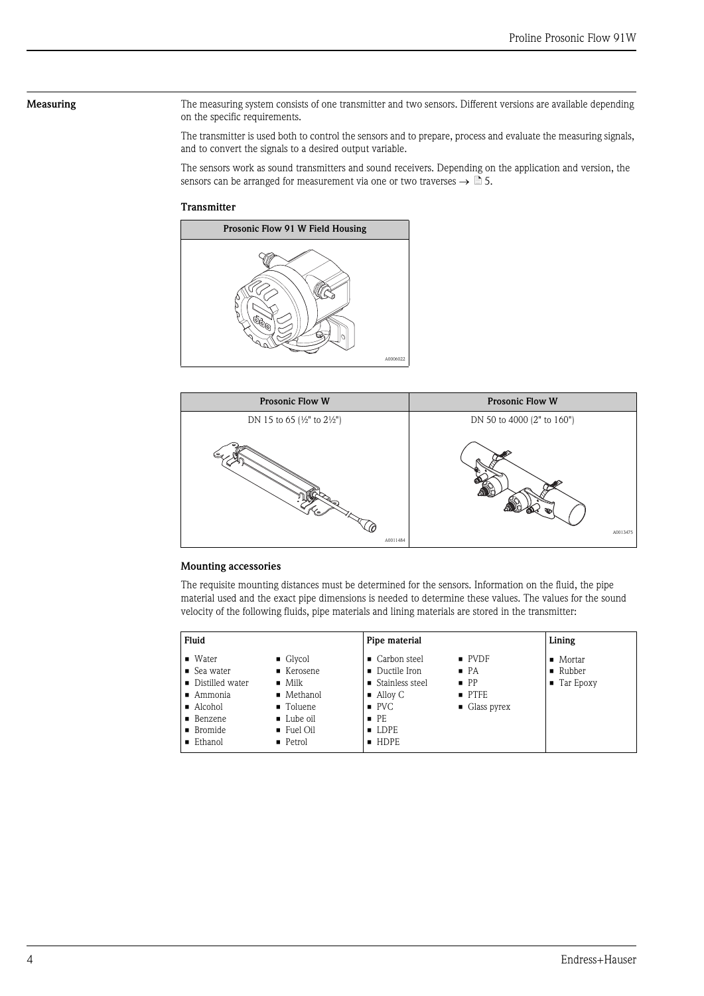<span id="page-3-0"></span>Measuring The measuring system consists of one transmitter and two sensors. Different versions are available depending on the specific requirements.

> The transmitter is used both to control the sensors and to prepare, process and evaluate the measuring signals, and to convert the signals to a desired output variable.

> The sensors work as sound transmitters and sound receivers. Depending on the application and version, the sensors can be arranged for measurement via one or two traverses  $\rightarrow \mathbb{\tilde{B}}$  5.

### **Transmitter**





### Mounting accessories

The requisite mounting distances must be determined for the sensors. Information on the fluid, the pipe material used and the exact pipe dimensions is needed to determine these values. The values for the sound velocity of the following fluids, pipe materials and lining materials are stored in the transmitter:

| Fluid                                                                                                                                               |                                                                                                                                            | Pipe material                                                                                                                                             |                                                                                                     | Lining                                                      |  |
|-----------------------------------------------------------------------------------------------------------------------------------------------------|--------------------------------------------------------------------------------------------------------------------------------------------|-----------------------------------------------------------------------------------------------------------------------------------------------------------|-----------------------------------------------------------------------------------------------------|-------------------------------------------------------------|--|
| $\blacksquare$ Water<br>$\blacksquare$ Sea water<br>• Distilled water<br>$\blacksquare$ Ammonia<br>■ Alcohol<br>• Benzene<br>■ Bromide<br>■ Ethanol | $\blacksquare$ Glycol<br>■ Kerosene<br>$\blacksquare$ Milk<br>• Methanol<br>■ Toluene<br>■ Lube oil<br>$\blacksquare$ Fuel Oil<br>• Petrol | • Carbon steel<br>• Ductile Iron<br>■ Stainless steel<br>$\blacksquare$ Alloy C<br>$\blacksquare$ PVC<br>$\blacksquare$ PE<br>$\blacksquare$ LDPE<br>HDPE | $\blacksquare$ PVDF<br>$\blacksquare$ PA<br>$\blacksquare$ PP<br>PTFE<br>$\blacksquare$ Glass pyrex | Mortar<br>$\blacksquare$ Rubber<br>$\blacksquare$ Tar Epoxy |  |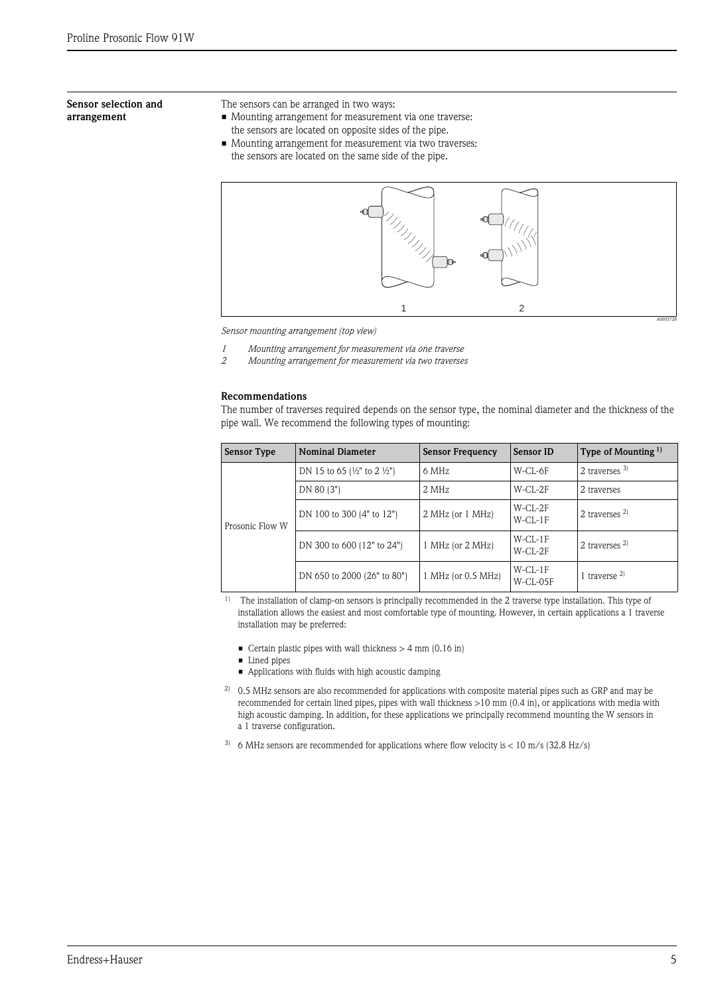### <span id="page-4-0"></span>Sensor selection and arrangement

- The sensors can be arranged in two ways:
- Mounting arrangement for measurement via one traverse:
	- the sensors are located on opposite sides of the pipe.
- Mounting arrangement for measurement via two traverses: the sensors are located on the same side of the pipe.



*Sensor mounting arrangement (top view)*

- *1 Mounting arrangement for measurement via one traverse*
- *2 Mounting arrangement for measurement via two traverses*

### Recommendations

The number of traverses required depends on the sensor type, the nominal diameter and the thickness of the pipe wall. We recommend the following types of mounting:

|  | Sensor Type     | <b>Nominal Diameter</b>                        | <b>Sensor Frequency</b> | Sensor ID               | Type of Mounting $1$ |
|--|-----------------|------------------------------------------------|-------------------------|-------------------------|----------------------|
|  |                 | DN 15 to 65 $\frac{1}{2}$ to 2 $\frac{1}{2}$ ) | 6 MHz                   | W-CL-6F                 | 2 traverses $3$      |
|  |                 | DN 80 (3")                                     | 2 MHz                   | $W$ -CL-2F              | 2 traverses          |
|  | Prosonic Flow W | DN 100 to 300 (4" to 12")                      | 2 MHz (or 1 MHz)        | W-CL-2F<br>$W$ -CL-1F   | 2 traverses $2$      |
|  |                 | DN 300 to 600 (12" to 24")                     | 1 MHz (or 2 MHz)        | $W-CL-1F$<br>$W$ -CL-2F | 2 traverses $^{2)}$  |
|  |                 | DN 650 to 2000 (26" to 80")                    | $1$ MHz (or 0.5 MHz)    | $W$ -CL-1F<br>W-CL-05F  | 1 traverse $^{2)}$   |

<sup>1)</sup> The installation of clamp-on sensors is principally recommended in the 2 traverse type installation. This type of installation allows the easiest and most comfortable type of mounting. However, in certain applications a 1 traverse installation may be preferred:

- $\blacksquare$  Certain plastic pipes with wall thickness  $>4$  mm (0.16 in)
- **•** Lined pipes
- Applications with fluids with high acoustic damping
- <sup>2)</sup> 0.5 MHz sensors are also recommended for applications with composite material pipes such as GRP and may be recommended for certain lined pipes, pipes with wall thickness >10 mm (0.4 in), or applications with media with high acoustic damping. In addition, for these applications we principally recommend mounting the W sensors in a 1 traverse configuration.
- <sup>3)</sup> 6 MHz sensors are recommended for applications where flow velocity is  $< 10$  m/s (32.8 Hz/s)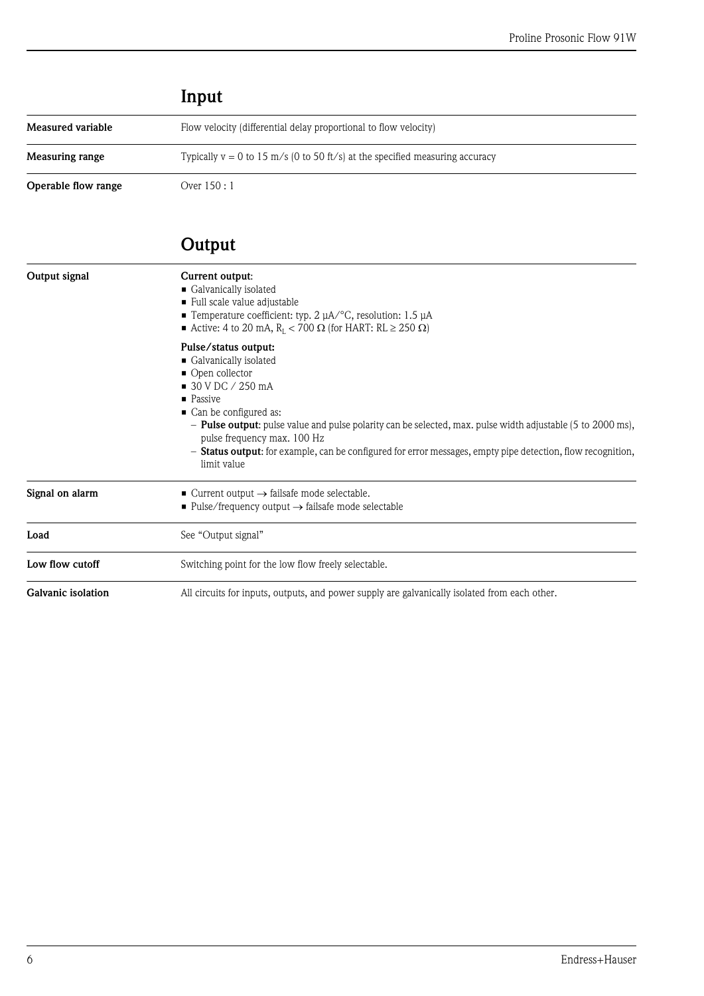<span id="page-5-2"></span><span id="page-5-1"></span>

|                     | Input                                                                          |
|---------------------|--------------------------------------------------------------------------------|
| Measured variable   | Flow velocity (differential delay proportional to flow velocity)               |
| Measuring range     | Typically $v = 0$ to 15 m/s (0 to 50 ft/s) at the specified measuring accuracy |
| Operable flow range | Over 150 : 1                                                                   |

# <span id="page-5-4"></span><span id="page-5-0"></span>Output

<span id="page-5-9"></span><span id="page-5-8"></span><span id="page-5-7"></span><span id="page-5-6"></span><span id="page-5-5"></span><span id="page-5-3"></span>

| Output signal                                                                                                              | Current output:<br>Galvanically isolated<br>Full scale value adjustable<br><b>Temperature coefficient: typ. 2 <math>\mu</math>A</b> /°C, resolution: 1.5 $\mu$ A<br>Active: 4 to 20 mA, $R_L < 700 \Omega$ (for HART: RL $\geq$ 250 $\Omega$ )                                                                                                                                                                                                      |  |  |  |  |
|----------------------------------------------------------------------------------------------------------------------------|-----------------------------------------------------------------------------------------------------------------------------------------------------------------------------------------------------------------------------------------------------------------------------------------------------------------------------------------------------------------------------------------------------------------------------------------------------|--|--|--|--|
|                                                                                                                            | Pulse/status output:<br>Galvanically isolated<br>• Open collector<br>$\blacksquare$ 30 V DC / 250 mA<br>$\blacksquare$ Passive<br>• Can be configured as:<br>- <b>Pulse output:</b> pulse value and pulse polarity can be selected, max. pulse width adjustable (5 to 2000 ms),<br>pulse frequency max. 100 Hz<br>- <b>Status output:</b> for example, can be configured for error messages, empty pipe detection, flow recognition,<br>limit value |  |  |  |  |
| Signal on alarm                                                                                                            | $\blacksquare$ Current output $\rightarrow$ failsafe mode selectable.<br>■ Pulse/frequency output $\rightarrow$ failsafe mode selectable                                                                                                                                                                                                                                                                                                            |  |  |  |  |
| Load                                                                                                                       | See "Output signal"                                                                                                                                                                                                                                                                                                                                                                                                                                 |  |  |  |  |
| Low flow cutoff                                                                                                            | Switching point for the low flow freely selectable.                                                                                                                                                                                                                                                                                                                                                                                                 |  |  |  |  |
| <b>Galvanic isolation</b><br>All circuits for inputs, outputs, and power supply are galvanically isolated from each other. |                                                                                                                                                                                                                                                                                                                                                                                                                                                     |  |  |  |  |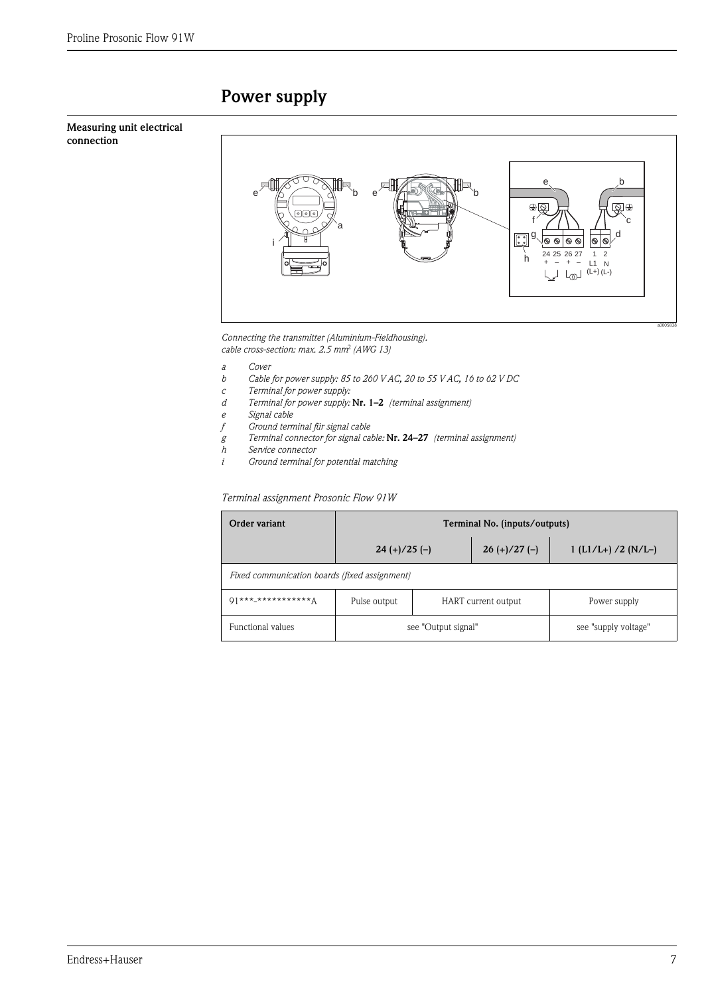# <span id="page-6-0"></span>Power supply

### <span id="page-6-1"></span>Measuring unit electrical connection



*Connecting the transmitter (Aluminium-Fieldhousing). cable cross-section: max. 2.5 mm(AWG 13)*

- 
- *a Cover b Cable for power supply: 85 to 260 V AC, 20 to 55 V AC, 16 to 62 V DC*
- *c Terminal for power supply:*
- *d Terminal for power supply:* Nr. 1–2 *(terminal assignment)*
- *e Signal cable*
- 
- *f Ground terminal für signal cable g Terminal connector for signal cable:* Nr. 24–27 *(terminal assignment)*
- *h Service connector*
- *i Ground terminal for potential matching*

### *Terminal assignment Prosonic Flow 91W*

| Order variant                                 | Terminal No. (inputs/outputs)      |                     |                      |                      |  |
|-----------------------------------------------|------------------------------------|---------------------|----------------------|----------------------|--|
|                                               | $26 (+)/27 (-)$<br>$24 (+)/25 (-)$ |                     | $1(L1/L+)$ /2 (N/L-) |                      |  |
| Fixed communication boards (fixed assignment) |                                    |                     |                      |                      |  |
| $01***$ ************ $\Delta$                 | Pulse output                       | HART current output |                      | Power supply         |  |
| Functional values                             | see "Output signal"                |                     |                      | see "supply voltage" |  |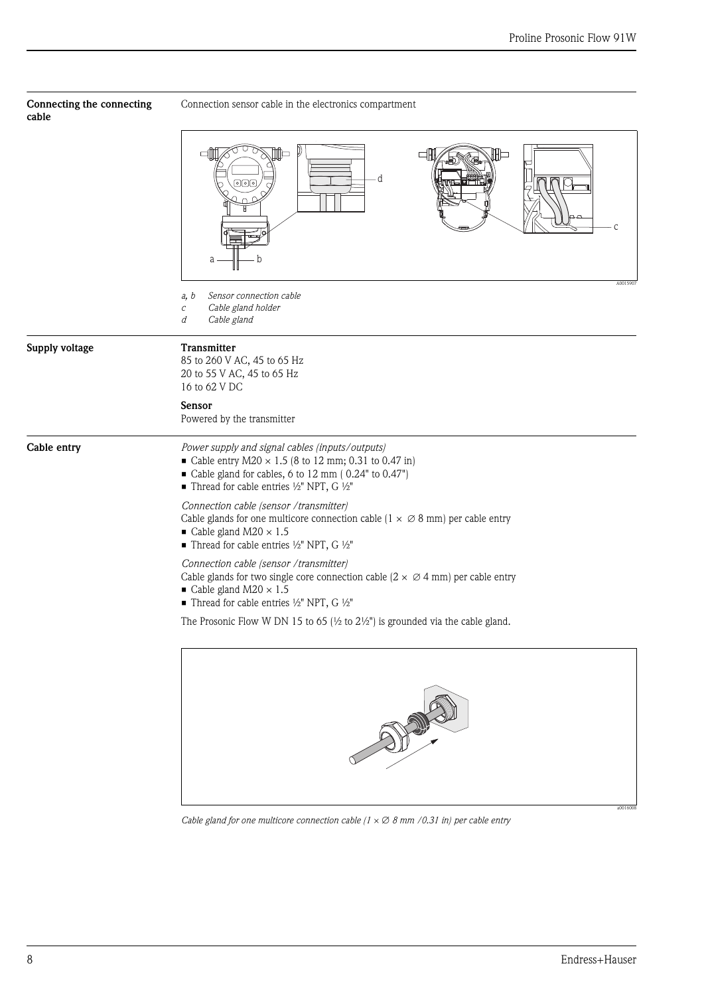<span id="page-7-2"></span><span id="page-7-1"></span><span id="page-7-0"></span>

| Connecting the connecting<br>cable | Connection sensor cable in the electronics compartment                                                                                                                                                                                                            |  |  |  |
|------------------------------------|-------------------------------------------------------------------------------------------------------------------------------------------------------------------------------------------------------------------------------------------------------------------|--|--|--|
|                                    | oН<br>$\blacksquare$<br>ℍ⊐<br>d<br>이어<br>a<br>b                                                                                                                                                                                                                   |  |  |  |
|                                    | A0015907<br>Sensor connection cable<br>a, b<br>Cable gland holder<br>$\cal C$<br>d<br>Cable gland                                                                                                                                                                 |  |  |  |
| Supply voltage                     | Transmitter<br>85 to 260 V AC, 45 to 65 Hz<br>20 to 55 V AC, 45 to 65 Hz<br>16 to 62 V DC                                                                                                                                                                         |  |  |  |
|                                    | Sensor<br>Powered by the transmitter                                                                                                                                                                                                                              |  |  |  |
| Cable entry                        | Power supply and signal cables (inputs/outputs)<br>• Cable entry $M20 \times 1.5$ (8 to 12 mm; 0.31 to 0.47 in)<br>Cable gland for cables, 6 to 12 mm (0.24" to 0.47")<br>■ Thread for cable entries ½" NPT, G ½"                                                 |  |  |  |
|                                    | Connection cable (sensor /transmitter)<br>Cable glands for one multicore connection cable ( $1 \times \emptyset$ 8 mm) per cable entry<br>$\blacksquare$ Cable gland M20 $\times$ 1.5<br>■ Thread for cable entries 1/2" NPT, G 1/2"                              |  |  |  |
|                                    | Connection cable (sensor /transmitter)<br>Cable glands for two single core connection cable $(2 \times \emptyset 4 \text{ mm})$ per cable entry<br>$\blacksquare$ Cable gland M20 $\times$ 1.5<br>Thread for cable entries $\frac{1}{2}$ " NPT, G $\frac{1}{2}$ " |  |  |  |
|                                    | The Prosonic Flow W DN 15 to 65 ( $\frac{1}{2}$ to 2 $\frac{1}{2}$ ") is grounded via the cable gland.                                                                                                                                                            |  |  |  |
|                                    |                                                                                                                                                                                                                                                                   |  |  |  |

*Cable gland for one multicore connection cable (1 × 8 mm /0.31 in) per cable entry*

a0016008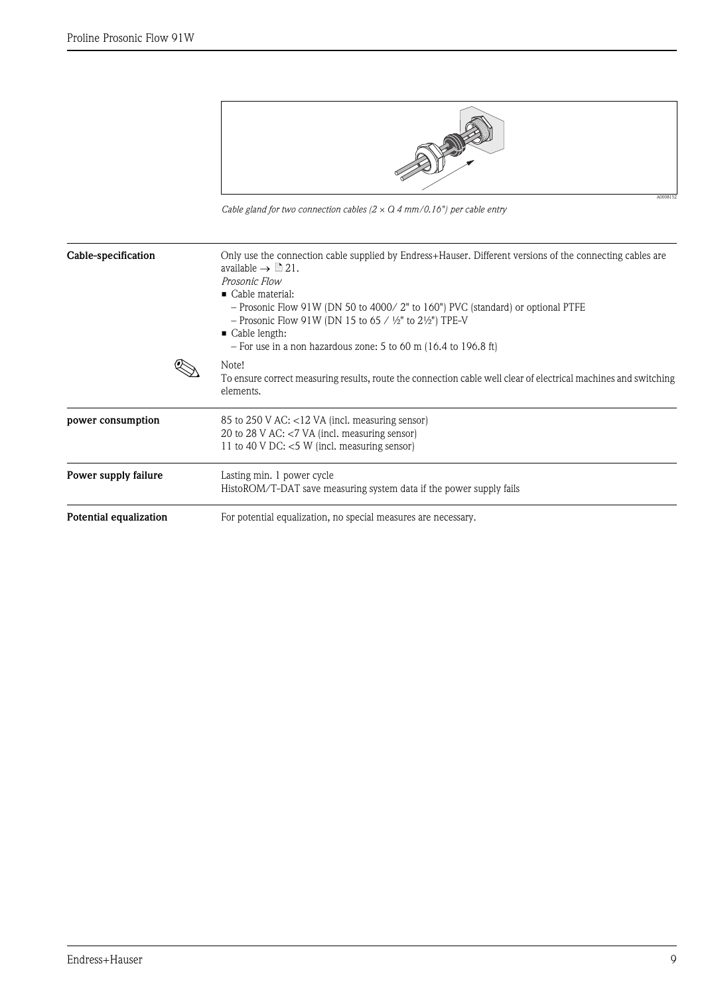

*Cable gland for two connection cables (2 × Q 4 mm/0.16") per cable entry*

<span id="page-8-3"></span><span id="page-8-2"></span><span id="page-8-1"></span><span id="page-8-0"></span>

| Cable-specification    | Only use the connection cable supplied by Endress+Hauser. Different versions of the connecting cables are<br>available $\rightarrow \Box$ 21.<br>Prosonic Flow<br>$\blacksquare$ Cable material:<br>- Prosonic Flow 91W (DN 50 to 4000/2" to 160") PVC (standard) or optional PTFE<br>- Prosonic Flow 91W (DN 15 to 65 / $\frac{1}{2}$ " to 2 $\frac{1}{2}$ ") TPE-V<br>$\blacksquare$ Cable length:<br>$-$ For use in a non hazardous zone: 5 to 60 m (16.4 to 196.8 ft) |
|------------------------|---------------------------------------------------------------------------------------------------------------------------------------------------------------------------------------------------------------------------------------------------------------------------------------------------------------------------------------------------------------------------------------------------------------------------------------------------------------------------|
|                        | Note!<br>To ensure correct measuring results, route the connection cable well clear of electrical machines and switching<br>elements.                                                                                                                                                                                                                                                                                                                                     |
| power consumption      | 85 to 250 V AC: <12 VA (incl. measuring sensor)<br>20 to 28 V AC: $<$ 7 VA (incl. measuring sensor)<br>11 to 40 V DC: $<$ 5 W (incl. measuring sensor)                                                                                                                                                                                                                                                                                                                    |
| Power supply failure   | Lasting min. 1 power cycle<br>HistoROM/T-DAT save measuring system data if the power supply fails                                                                                                                                                                                                                                                                                                                                                                         |
| Potential equalization | For potential equalization, no special measures are necessary.                                                                                                                                                                                                                                                                                                                                                                                                            |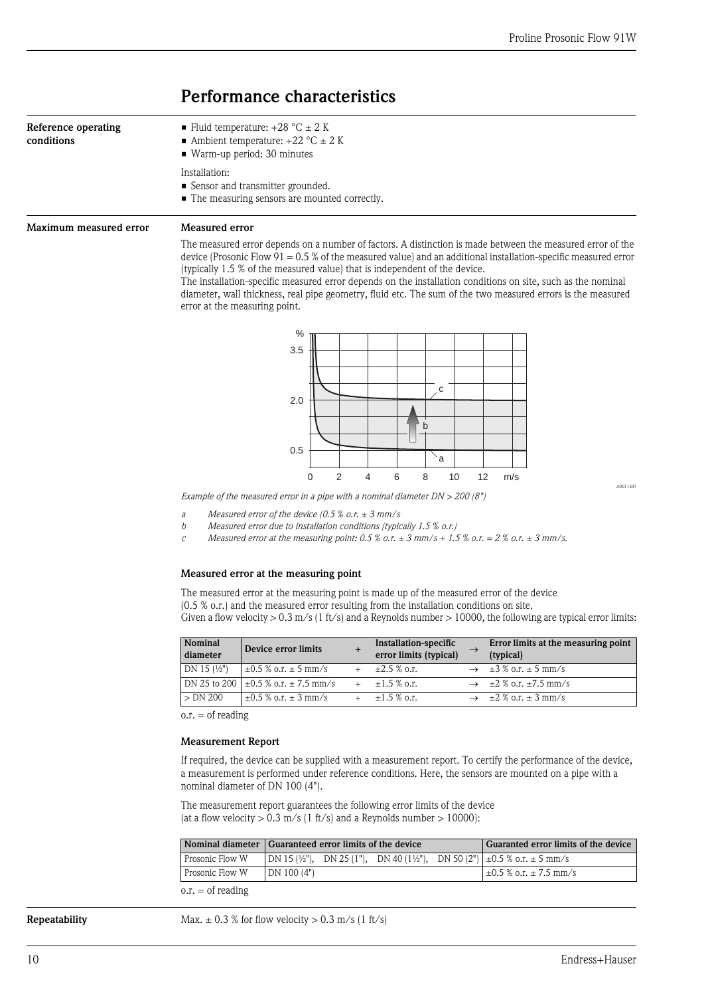## <span id="page-9-0"></span>Performance characteristics

<span id="page-9-2"></span><span id="page-9-1"></span>

| Reference operating<br>conditions | ■ Fluid temperature: $+28$ °C $\pm$ 2 K<br>Ambient temperature: $+22$ °C $\pm$ 2 K<br>■ Warm-up period: 30 minutes                                                                                                                                                                                                                                                                                                           |
|-----------------------------------|------------------------------------------------------------------------------------------------------------------------------------------------------------------------------------------------------------------------------------------------------------------------------------------------------------------------------------------------------------------------------------------------------------------------------|
|                                   | Installation:<br>■ Sensor and transmitter grounded.<br>■ The measuring sensors are mounted correctly.                                                                                                                                                                                                                                                                                                                        |
| Maximum measured error            | Measured error                                                                                                                                                                                                                                                                                                                                                                                                               |
|                                   | The measured error depends on a number of factors. A distinction is made between the measured error of the<br>device (Prosonic Flow 91 = $0.5\%$ of the measured value) and an additional installation-specific measured error<br>(typically 1.5 % of the measured value) that is independent of the device.<br>The installation-specific measured error depends on the installation conditions on site, such as the nominal |

measured error depends on the installation conditions on site, such as the nominal diameter, wall thickness, real pipe geometry, fluid etc. The sum of the two measured errors is the measured error at the measuring point.



*Example of the measured error in a pipe with a nominal diameter DN > 200 (8")*

*a Measured error of the device (0.5 % o.r. ± 3 mm/s*

*b Measured error due to installation conditions (typically 1.5 % o.r.)*

*c* Measured error at the measuring point:  $0.5\%$  o.r.  $\pm 3$  mm/s +  $1.5\%$  o.r.  $= 2\%$  o.r.  $\pm 3$  mm/s.

### Measured error at the measuring point

The measured error at the measuring point is made up of the measured error of the device (0.5 % o.r.) and the measured error resulting from the installation conditions on site. Given a flow velocity  $> 0.3$  m/s (1 ft/s) and a Reynolds number  $> 10000$ , the following are typical error limits:

| Nominal<br>diameter   | Device error limits                          | Installation-specific<br>error limits (typical) | Error limits at the measuring point<br>(typical) |
|-----------------------|----------------------------------------------|-------------------------------------------------|--------------------------------------------------|
| DN 15 $(\frac{1}{2})$ | $\pm 0.5$ % o.r. $\pm$ 5 mm/s                | $\pm 2.5$ % o.r.                                | $\rightarrow \pm 3\%$ o.r. $\pm 5$ mm/s          |
|                       | DN 25 to 200 $\pm 0.5$ % o.r. $\pm 7.5$ mm/s | $+$ $+1.5\%$ o.r.                               | $\rightarrow$ ±2 % o.r. ±7.5 mm/s                |
| $> DN$ 200            | $\pm 0.5$ % o.r. $\pm$ 3 mm/s                | $+1.5\%$ o.r.                                   | $\rightarrow \pm 2\%$ o.r. $\pm 3$ mm/s          |

o.r. = of reading

### Measurement Report

If required, the device can be supplied with a measurement report. To certify the performance of the device, a measurement is performed under reference conditions. Here, the sensors are mounted on a pipe with a nominal diameter of DN 100 (4").

The measurement report guarantees the following error limits of the device (at a flow velocity  $> 0.3$  m/s (1 ft/s) and a Reynolds number  $> 10000$ ):

|                 | Nominal diameter Guaranteed error limits of the device                                   | Guaranted error limits of the device |
|-----------------|------------------------------------------------------------------------------------------|--------------------------------------|
| Prosonic Flow W | $ DN 15 \frac{1}{2}$ , DN 25 (1"), DN 40 (1½"), DN 50 (2") $\pm$ 0.5 % o.r. $\pm$ 5 mm/s |                                      |
| Prosonic Flow W | DN 100 (4")                                                                              | $+\pm 0.5$ % o.r. $\pm$ 7.5 mm/s     |
| au afuandina    |                                                                                          |                                      |

 $o.r. = of reading$ 

<span id="page-9-3"></span>**Repeatability** Max.  $\pm 0.3$  % for flow velocity > 0.3 m/s (1 ft/s)

A0011347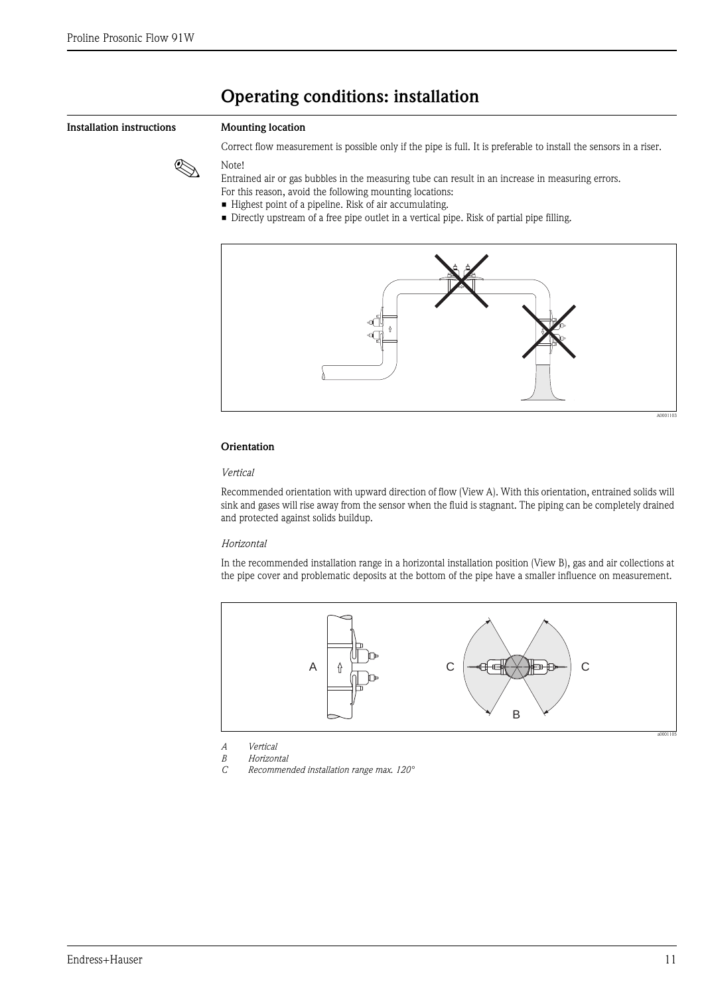## <span id="page-10-0"></span>Operating conditions: installation

### <span id="page-10-1"></span>Installation instructions Mounting location

Correct flow measurement is possible only if the pipe is full. It is preferable to install the sensors in a riser.



! Note! Entrained air or gas bubbles in the measuring tube can result in an increase in measuring errors.

- For this reason, avoid the following mounting locations:
- Highest point of a pipeline. Risk of air accumulating.
- Directly upstream of a free pipe outlet in a vertical pipe. Risk of partial pipe filling.



### **Orientation**

### *Vertical*

Recommended orientation with upward direction of flow (View A). With this orientation, entrained solids will sink and gases will rise away from the sensor when the fluid is stagnant. The piping can be completely drained and protected against solids buildup.

### *Horizontal*

In the recommended installation range in a horizontal installation position (View B), gas and air collections at the pipe cover and problematic deposits at the bottom of the pipe have a smaller influence on measurement.



- *A Vertical B Horizontal*
- *C Recommended installation range max. 120°*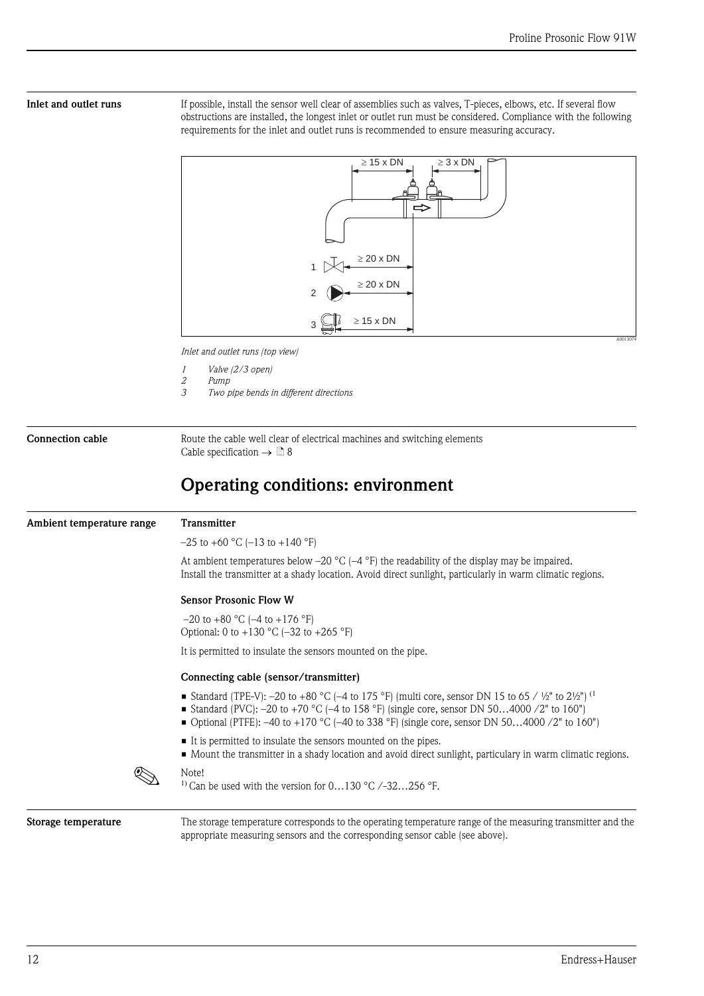<span id="page-11-0"></span>Inlet and outlet runs If possible, install the sensor well clear of assemblies such as valves, T-pieces, elbows, etc. If several flow obstructions are installed, the longest inlet or outlet run must be considered. Compliance with the following requirements for the inlet and outlet runs is recommended to ensure measuring accuracy.



*Inlet and outlet runs (top view)*

- *1 Valve (2/3 open)*
- *2 Pump*
- *3 Two pipe bends in different directions*

<span id="page-11-1"></span>Connection cable Route the cable well clear of electrical machines and switching elements Cable specification  $\rightarrow \Box$  8

## <span id="page-11-2"></span>Operating conditions: environment

<span id="page-11-4"></span><span id="page-11-3"></span>

| Ambient temperature range | Transmitter                                                                                                                                                                                                                                                                                                |
|---------------------------|------------------------------------------------------------------------------------------------------------------------------------------------------------------------------------------------------------------------------------------------------------------------------------------------------------|
|                           | $-25$ to +60 °C (-13 to +140 °F)                                                                                                                                                                                                                                                                           |
|                           | At ambient temperatures below -20 $^{\circ}$ C (-4 $^{\circ}$ F) the readability of the display may be impaired.<br>Install the transmitter at a shady location. Avoid direct sunlight, particularly in warm climatic regions.                                                                             |
|                           | <b>Sensor Prosonic Flow W</b>                                                                                                                                                                                                                                                                              |
|                           | $-20$ to $+80$ °C ( $-4$ to $+176$ °F)<br>Optional: 0 to +130 °C (-32 to +265 °F)                                                                                                                                                                                                                          |
|                           | It is permitted to insulate the sensors mounted on the pipe.                                                                                                                                                                                                                                               |
|                           | Connecting cable (sensor/transmitter)                                                                                                                                                                                                                                                                      |
|                           | ■ Standard (TPE-V): -20 to +80 °C (-4 to 175 °F) (multi core, sensor DN 15 to 65 / ½" to 2½") <sup>(1</sup><br>■ Standard (PVC): -20 to +70 °C (-4 to 158 °F) (single core, sensor DN 504000 /2" to 160")<br>• Optional (PTFE): -40 to +170 °C (-40 to 338 °F) (single core, sensor DN 504000 /2" to 160") |
|                           | It is permitted to insulate the sensors mounted on the pipes.<br>• Mount the transmitter in a shady location and avoid direct sunlight, particulary in warm climatic regions.                                                                                                                              |
|                           | Note!<br><sup>1)</sup> Can be used with the version for $0130$ °C $/-32256$ °F.                                                                                                                                                                                                                            |
| Storage temperature       | The storage temperature corresponds to the operating temperature range of the measuring transmitter and the<br>appropriate measuring sensors and the corresponding sensor cable (see above).                                                                                                               |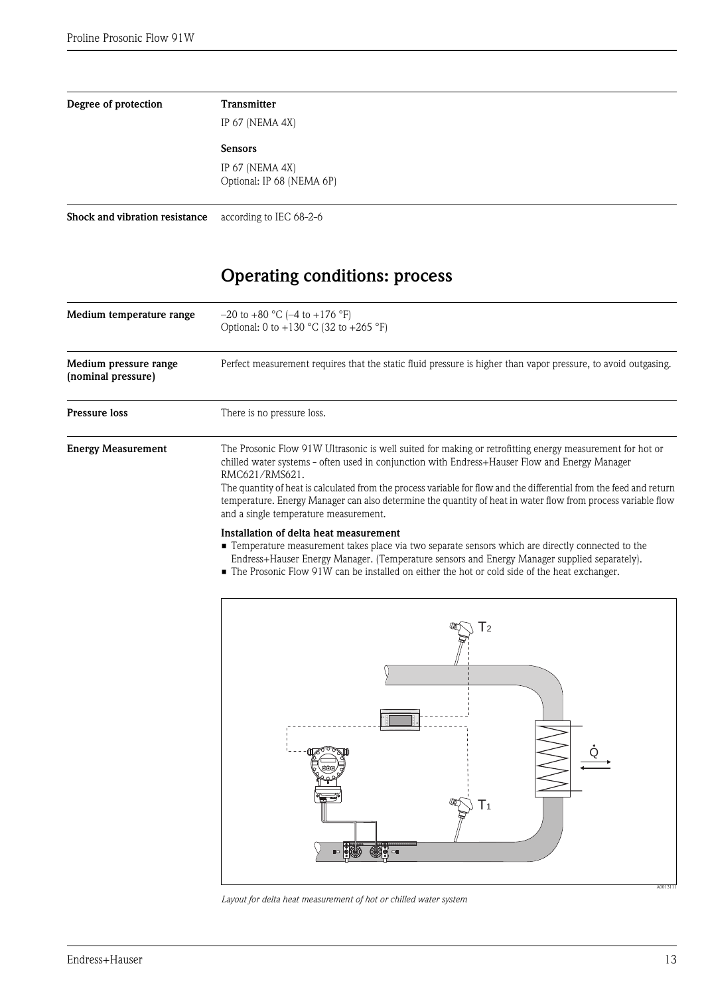<span id="page-12-4"></span><span id="page-12-3"></span><span id="page-12-2"></span><span id="page-12-1"></span><span id="page-12-0"></span>

| Degree of protection                        | <b>Transmitter</b>                                                                                                                                                                                                                                                                                                                                                                                                                                                                                          |
|---------------------------------------------|-------------------------------------------------------------------------------------------------------------------------------------------------------------------------------------------------------------------------------------------------------------------------------------------------------------------------------------------------------------------------------------------------------------------------------------------------------------------------------------------------------------|
|                                             | IP 67 (NEMA 4X)                                                                                                                                                                                                                                                                                                                                                                                                                                                                                             |
|                                             | <b>Sensors</b>                                                                                                                                                                                                                                                                                                                                                                                                                                                                                              |
|                                             | IP 67 (NEMA 4X)<br>Optional: IP 68 (NEMA 6P)                                                                                                                                                                                                                                                                                                                                                                                                                                                                |
| Shock and vibration resistance              | according to IEC 68-2-6                                                                                                                                                                                                                                                                                                                                                                                                                                                                                     |
|                                             | <b>Operating conditions: process</b>                                                                                                                                                                                                                                                                                                                                                                                                                                                                        |
| Medium temperature range                    | $-20$ to $+80$ °C ( $-4$ to $+176$ °F)<br>Optional: 0 to +130 °C (32 to +265 °F)                                                                                                                                                                                                                                                                                                                                                                                                                            |
| Medium pressure range<br>(nominal pressure) | Perfect measurement requires that the static fluid pressure is higher than vapor pressure, to avoid outgasing.                                                                                                                                                                                                                                                                                                                                                                                              |
| <b>Pressure loss</b>                        | There is no pressure loss.                                                                                                                                                                                                                                                                                                                                                                                                                                                                                  |
| <b>Energy Measurement</b>                   | The Prosonic Flow 91W Ultrasonic is well suited for making or retrofitting energy measurement for hot or<br>chilled water systems - often used in conjunction with Endress+Hauser Flow and Energy Manager<br>RMC621/RMS621.<br>The quantity of heat is calculated from the process variable for flow and the differential from the feed and return<br>temperature. Energy Manager can also determine the quantity of heat in water flow from process variable flow<br>and a single temperature measurement. |
|                                             | Installation of delta heat measurement<br>• Temperature measurement takes place via two separate sensors which are directly connected to the<br>Endress+Hauser Energy Manager. (Temperature sensors and Energy Manager supplied separately).<br>• The Prosonic Flow 91W can be installed on either the hot or cold side of the heat exchanger.                                                                                                                                                              |
|                                             |                                                                                                                                                                                                                                                                                                                                                                                                                                                                                                             |

<span id="page-12-6"></span><span id="page-12-5"></span>

*Layout for delta heat measurement of hot or chilled water system*

A0013111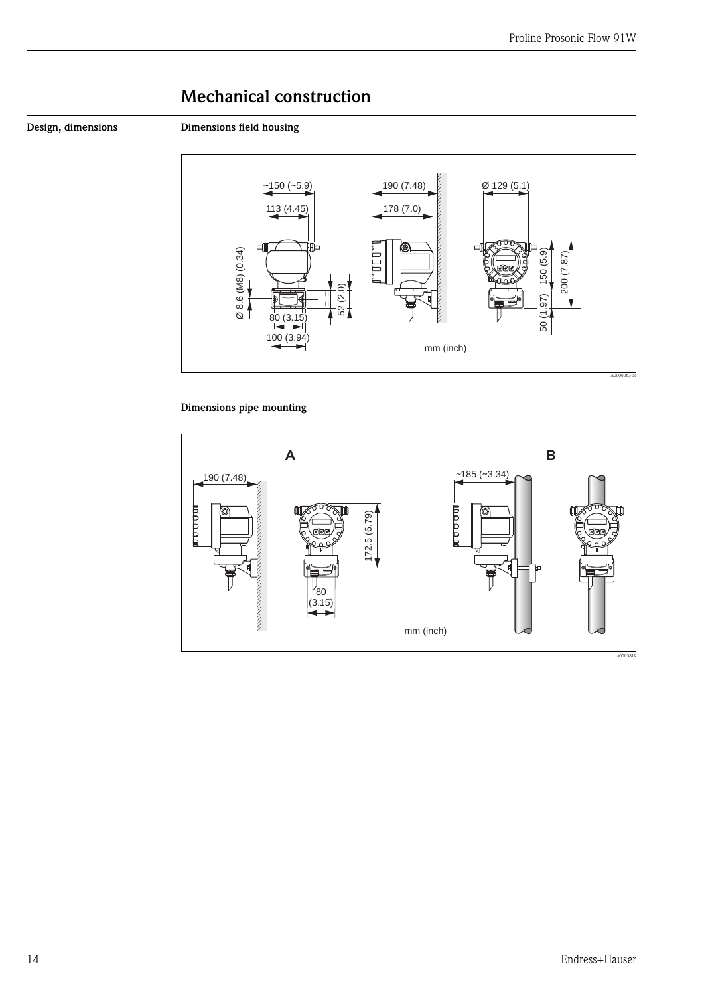# <span id="page-13-0"></span>Mechanical construction

<span id="page-13-1"></span>Design, dimensions Dimensions field housing



### Dimensions pipe mounting

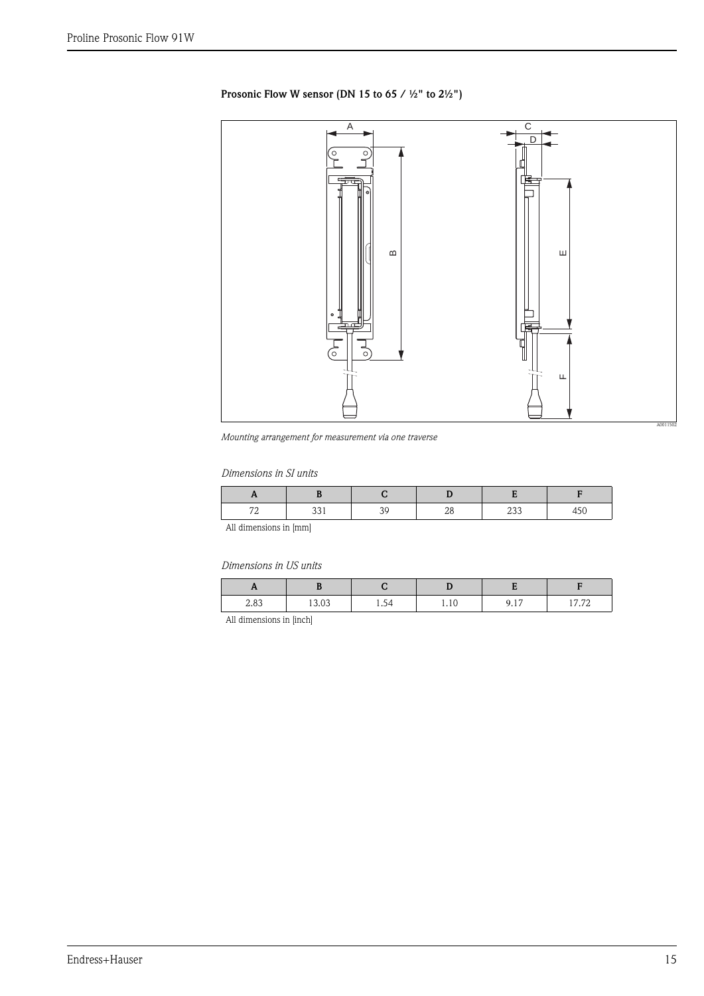### Prosonic Flow W sensor (DN 15 to 65 / ½" to 2½")



*Mounting arrangement for measurement via one traverse*

### *Dimensions in SI units*

| $\overline{\phantom{a}}$<br>-<br>. – | ັບປະ | ∠∟ | $\overline{\omega}$ |  |
|--------------------------------------|------|----|---------------------|--|

All dimensions in [mm]

*Dimensions in US units*

| .,   |       |      |      |                     |       |
|------|-------|------|------|---------------------|-------|
| 2.83 | 13.03 | 1.54 | 1.10 | Q 17<br><b>7.11</b> | 17.72 |

All dimensions in [inch]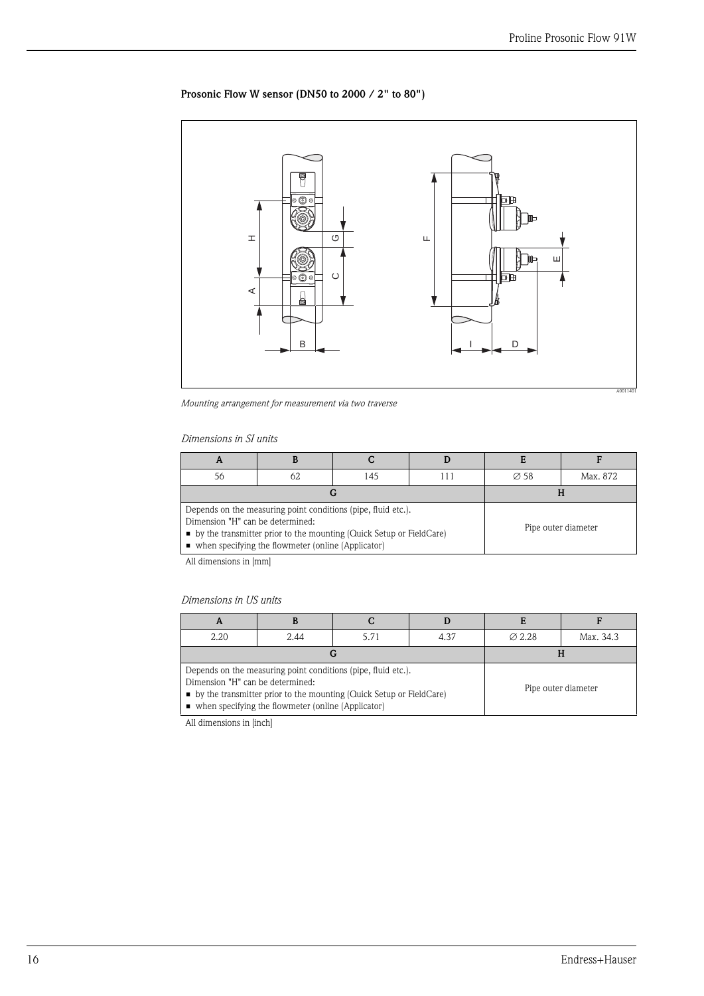### Prosonic Flow W sensor (DN50 to 2000 / 2" to 80")



*Mounting arrangement for measurement via two traverse*

### *Dimensions in SI units*

| 56                                                                                                                                                                                                                                                      | 62 | 145 |                     | $\varnothing$ 58 | Max. 872 |
|---------------------------------------------------------------------------------------------------------------------------------------------------------------------------------------------------------------------------------------------------------|----|-----|---------------------|------------------|----------|
|                                                                                                                                                                                                                                                         |    |     |                     |                  |          |
| Depends on the measuring point conditions (pipe, fluid etc.).<br>Dimension "H" can be determined:<br>$\bullet$ by the transmitter prior to the mounting (Quick Setup or FieldCare)<br>$\blacksquare$ when specifying the flowmeter (online (Applicator) |    |     | Pipe outer diameter |                  |          |

All dimensions in [mm]

### *Dimensions in US units*

| A                                                                                                                                                                                                                                          |      |      |      |                    |                     |
|--------------------------------------------------------------------------------------------------------------------------------------------------------------------------------------------------------------------------------------------|------|------|------|--------------------|---------------------|
| 2.20                                                                                                                                                                                                                                       | 2.44 | 5.71 | 4.37 | $\varnothing$ 2.28 | Max. 34.3           |
|                                                                                                                                                                                                                                            |      |      |      |                    |                     |
| Depends on the measuring point conditions (pipe, fluid etc.).<br>Dimension "H" can be determined:<br>$\bullet$ by the transmitter prior to the mounting (Quick Setup or FieldCare)<br>• when specifying the flowmeter (online (Applicator) |      |      |      |                    | Pipe outer diameter |

All dimensions in [inch]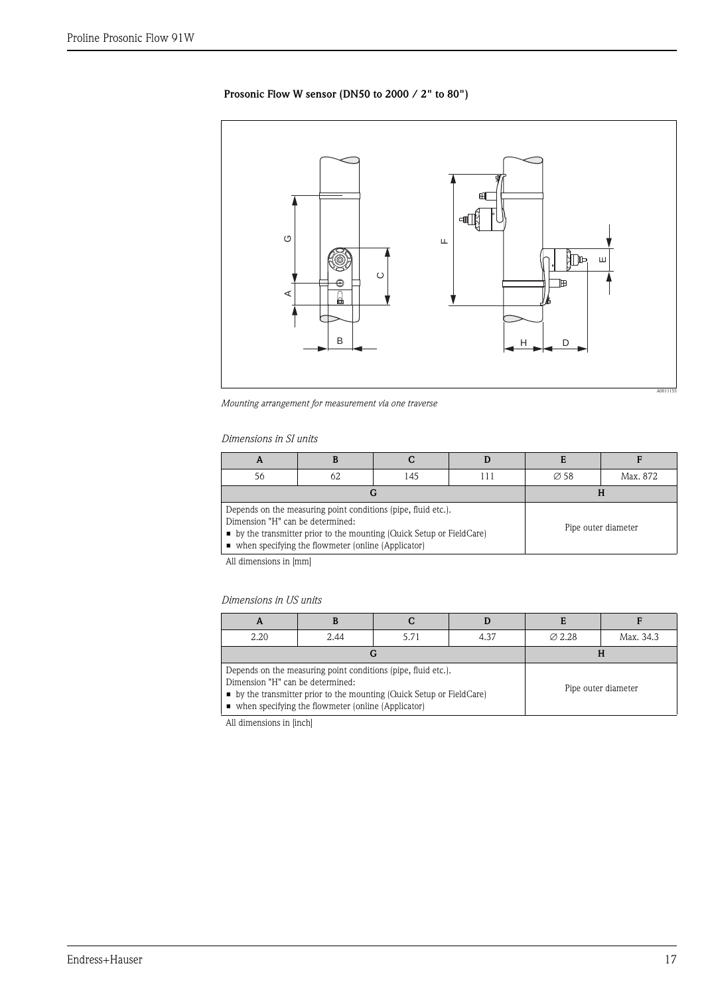### Prosonic Flow W sensor (DN50 to 2000 / 2" to 80")



*Mounting arrangement for measurement via one traverse*

### *Dimensions in SI units*

| A                                |                                                                                                                                                                                                             |     |                     |                  |          |
|----------------------------------|-------------------------------------------------------------------------------------------------------------------------------------------------------------------------------------------------------------|-----|---------------------|------------------|----------|
| 56                               | 62                                                                                                                                                                                                          | 145 |                     | $\varnothing$ 58 | Max. 872 |
|                                  | G                                                                                                                                                                                                           |     |                     |                  |          |
| Dimension "H" can be determined: | Depends on the measuring point conditions (pipe, fluid etc.).<br>• by the transmitter prior to the mounting (Quick Setup or FieldCare)<br>$\blacksquare$ when specifying the flowmeter (online (Applicator) |     | Pipe outer diameter |                  |          |

All dimensions in [mm]

### *Dimensions in US units*

| A                                                                                                                                                                                                                                  |      |       |      |                    |                     |
|------------------------------------------------------------------------------------------------------------------------------------------------------------------------------------------------------------------------------------|------|-------|------|--------------------|---------------------|
| 2.20                                                                                                                                                                                                                               | 2.44 | 5 7 1 | 4.37 | $\varnothing$ 2.28 | Max. 34.3           |
|                                                                                                                                                                                                                                    |      |       |      |                    |                     |
| Depends on the measuring point conditions (pipe, fluid etc.).<br>Dimension "H" can be determined:<br>• by the transmitter prior to the mounting (Quick Setup or FieldCare)<br>• when specifying the flowmeter (online (Applicator) |      |       |      |                    | Pipe outer diameter |

All dimensions in [inch]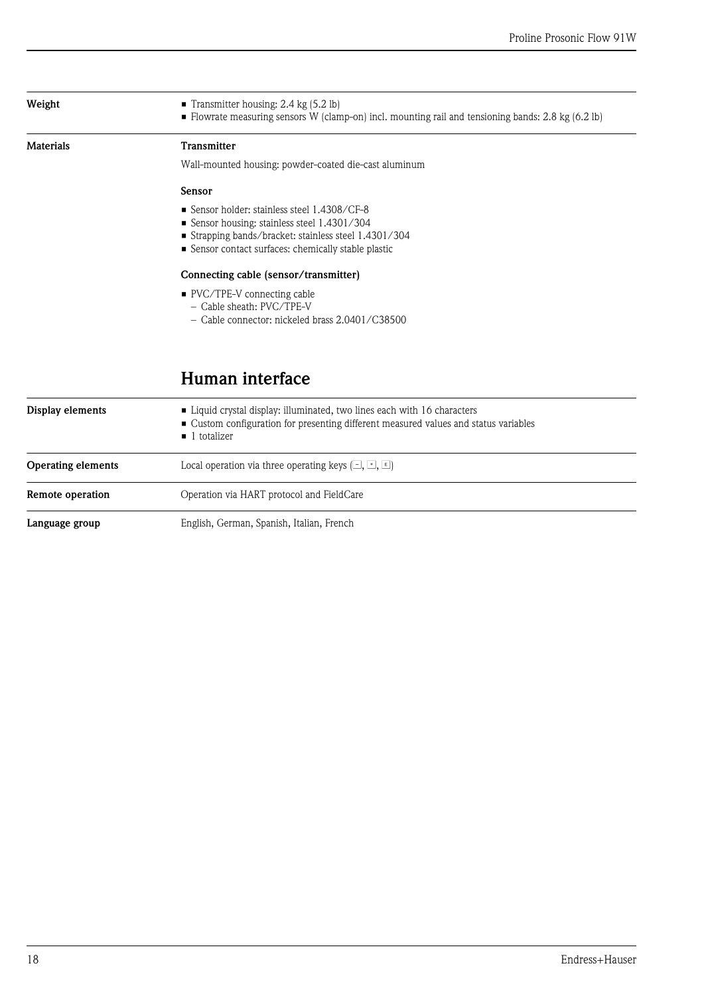<span id="page-17-1"></span><span id="page-17-0"></span>

| Weight                    | Transmitter housing: $2.4 \text{ kg} (5.2 \text{ lb})$<br>• Flowrate measuring sensors W (clamp-on) incl. mounting rail and tensioning bands: 2.8 kg (6.2 lb)                                           |  |  |  |  |
|---------------------------|---------------------------------------------------------------------------------------------------------------------------------------------------------------------------------------------------------|--|--|--|--|
| <b>Materials</b>          | <b>Transmitter</b>                                                                                                                                                                                      |  |  |  |  |
|                           | Wall-mounted housing: powder-coated die-cast aluminum                                                                                                                                                   |  |  |  |  |
|                           | Sensor                                                                                                                                                                                                  |  |  |  |  |
|                           | ■ Sensor holder: stainless steel 1.4308/CF-8<br>Sensor housing: stainless steel 1.4301/304<br>Strapping bands/bracket: stainless steel 1.4301/304<br>Sensor contact surfaces: chemically stable plastic |  |  |  |  |
|                           | Connecting cable (sensor/transmitter)                                                                                                                                                                   |  |  |  |  |
|                           | ■ PVC/TPE-V connecting cable<br>- Cable sheath: PVC/TPE-V<br>$-$ Cable connector: nickeled brass 2.0401/C38500                                                                                          |  |  |  |  |
|                           | Human interface                                                                                                                                                                                         |  |  |  |  |
| Display elements          | • Liquid crystal display: illuminated, two lines each with 16 characters<br>• Custom configuration for presenting different measured values and status variables<br>$\blacksquare$ 1 totalizer          |  |  |  |  |
| <b>Operating elements</b> | Local operation via three operating keys $[\square, \square]$                                                                                                                                           |  |  |  |  |

<span id="page-17-6"></span>

Language group English, German, Spanish, Italian, French

<span id="page-17-5"></span><span id="page-17-4"></span><span id="page-17-3"></span><span id="page-17-2"></span>Remote operation **C** Operation via HART protocol and FieldCare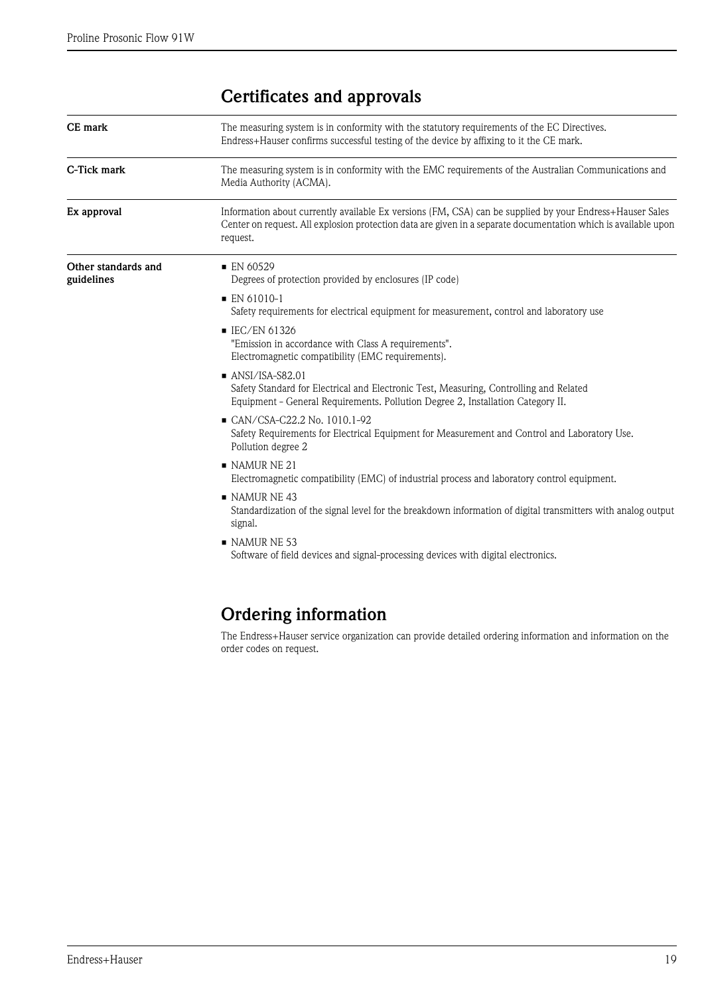# <span id="page-18-0"></span>Certificates and approvals

<span id="page-18-4"></span><span id="page-18-3"></span><span id="page-18-2"></span><span id="page-18-1"></span>

| CE mark                           | The measuring system is in conformity with the statutory requirements of the EC Directives.<br>Endress+Hauser confirms successful testing of the device by affixing to it the CE mark.                                                 |
|-----------------------------------|----------------------------------------------------------------------------------------------------------------------------------------------------------------------------------------------------------------------------------------|
| C-Tick mark                       | The measuring system is in conformity with the EMC requirements of the Australian Communications and<br>Media Authority (ACMA).                                                                                                        |
| Ex approval                       | Information about currently available Ex versions (FM, CSA) can be supplied by your Endress+Hauser Sales<br>Center on request. All explosion protection data are given in a separate documentation which is available upon<br>request. |
| Other standards and<br>guidelines | $\blacksquare$ EN 60529<br>Degrees of protection provided by enclosures (IP code)                                                                                                                                                      |
|                                   | $\blacksquare$ EN 61010-1<br>Safety requirements for electrical equipment for measurement, control and laboratory use                                                                                                                  |
|                                   | ■ IEC/EN 61326<br>"Emission in accordance with Class A requirements".<br>Electromagnetic compatibility (EMC requirements).                                                                                                             |
|                                   | $\blacksquare$ ANSI/ISA-S82.01<br>Safety Standard for Electrical and Electronic Test, Measuring, Controlling and Related<br>Equipment - General Requirements. Pollution Degree 2, Installation Category II.                            |
|                                   | CAN/CSA-C22.2 No. 1010.1-92<br>Safety Requirements for Electrical Equipment for Measurement and Control and Laboratory Use.<br>Pollution degree 2                                                                                      |
|                                   | $\blacksquare$ NAMUR NE 21<br>Electromagnetic compatibility (EMC) of industrial process and laboratory control equipment.                                                                                                              |
|                                   | NAMURNE <sub>43</sub><br>Standardization of the signal level for the breakdown information of digital transmitters with analog output<br>signal.                                                                                       |
|                                   | $\blacksquare$ NAMUR NE 53<br>Software of field devices and signal-processing devices with digital electronics.                                                                                                                        |
|                                   |                                                                                                                                                                                                                                        |

# <span id="page-18-5"></span>Ordering information

The Endress+Hauser service organization can provide detailed ordering information and information on the order codes on request.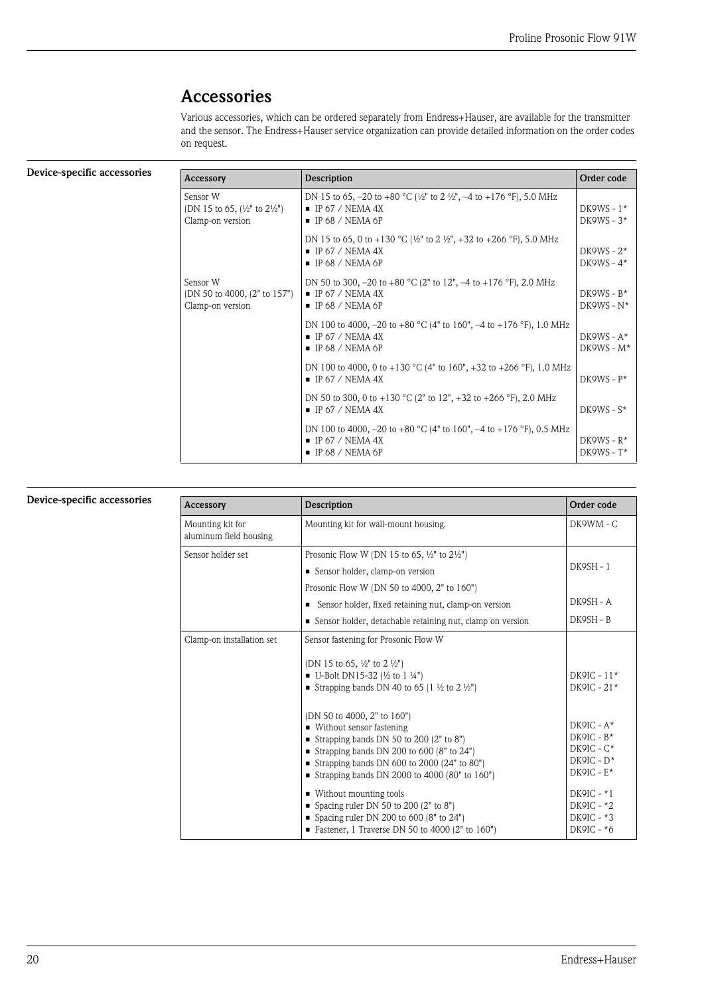## <span id="page-19-0"></span>Accessories

Various accessories, which can be ordered separately from Endress+Hauser, are available for the transmitter and the sensor. The Endress+Hauser service organization can provide detailed information on the order codes on request.

<span id="page-19-1"></span>

| Device-specific accessories | Accessory                                                                          | Description                                                                                                                                                    | Order code                    |
|-----------------------------|------------------------------------------------------------------------------------|----------------------------------------------------------------------------------------------------------------------------------------------------------------|-------------------------------|
|                             | Sensor W<br>(DN 15 to 65, $\frac{1}{2}$ " to $2\frac{1}{2}$ ")<br>Clamp-on version | DN 15 to 65, -20 to +80 °C ( $\frac{1}{2}$ " to 2 $\frac{1}{2}$ ", -4 to +176 °F), 5.0 MHz<br>$\blacksquare$ IP 67 / NEMA 4X<br>$\blacksquare$ IP 68 / NEMA 6P | $DK9WS - 1*$<br>DK9WS – $3*$  |
|                             |                                                                                    | DN 15 to 65, 0 to +130 °C ( $\frac{1}{2}$ " to 2 $\frac{1}{2}$ ", +32 to +266 °F), 5.0 MHz<br>$\blacksquare$ IP 67 / NEMA 4X<br>$\blacksquare$ IP 68 / NEMA 6P | DK9WS - $2*$<br>$DK9WS - 4*$  |
|                             | Sensor W<br>(DN 50 to 4000, (2" to 157")<br>Clamp-on version                       | DN 50 to 300, $-20$ to $+80$ °C (2" to 12", $-4$ to $+176$ °F), 2.0 MHz<br>$\blacksquare$ IP 67 / NEMA 4X<br>$\blacksquare$ IP 68 / NEMA 6P                    | $DK9WS - B*$<br>$DK9WS - N^*$ |
|                             |                                                                                    | DN 100 to 4000, -20 to +80 °C (4" to 160", -4 to +176 °F), 1.0 MHz<br>$\blacksquare$ IP 67 / NEMA 4X<br>$\blacksquare$ IP 68 / NEMA 6P                         | $DK9WS - A*$<br>$DK9WS - M*$  |
|                             |                                                                                    | DN 100 to 4000, 0 to +130 °C (4" to 160", +32 to +266 °F), 1.0 MHz<br>$\blacksquare$ IP 67 / NEMA 4X                                                           | $DK9WS - P*$                  |
|                             |                                                                                    | DN 50 to 300, 0 to +130 °C (2" to 12", +32 to +266 °F), 2.0 MHz<br>$\blacksquare$ IP 67 / NEMA 4X                                                              | $DK9WS - S^*$                 |
|                             |                                                                                    | DN 100 to 4000, -20 to +80 °C (4" to 160", -4 to +176 °F), 0.5 MHz<br>$\blacksquare$ IP 67 / NEMA 4X<br>$\blacksquare$ IP 68 / NEMA 6P                         | $DK9WS - R*$<br>$DK9WS - T^*$ |

### <span id="page-19-2"></span>Device-specific accessories

| Accessory                                  | Description                                                                                                                                                                                                                                                                         | Order code                                                                     |
|--------------------------------------------|-------------------------------------------------------------------------------------------------------------------------------------------------------------------------------------------------------------------------------------------------------------------------------------|--------------------------------------------------------------------------------|
| Mounting kit for<br>aluminum field housing | Mounting kit for wall-mount housing.                                                                                                                                                                                                                                                | $DKQWM - C$                                                                    |
| Sensor holder set                          | Prosonic Flow W (DN 15 to 65, $\frac{1}{2}$ " to $2\frac{1}{2}$ ")<br>Sensor holder, clamp-on version<br>Prosonic Flow W (DN 50 to 4000, 2" to 160")<br>Sensor holder, fixed retaining nut, clamp-on version<br>٠<br>Sensor holder, detachable retaining nut, clamp on version<br>٠ | $DK9SH - 1$<br>$DK9SH - A$<br>DK9SH - B                                        |
| Clamp-on installation set                  | Sensor fastening for Prosonic Flow W<br>(DN 15 to 65, $\frac{1}{2}$ " to 2 $\frac{1}{2}$ ")<br>U-Bolt DN15-32 (1/2 to 1 1/4")<br>Strapping bands DN 40 to 65 (1 $\frac{1}{2}$ to 2 $\frac{1}{2}$ ")                                                                                 | $DK9IC - 11*$<br>$DK9IC - 21*$                                                 |
|                                            | (DN 50 to 4000, 2" to 160")<br>■ Without sensor fastening<br>Strapping bands DN 50 to 200 $(2"$ to 8")<br>Strapping bands DN 200 to 600 (8" to $24"$ )<br>Strapping bands DN 600 to 2000 (24" to 80")<br>Strapping bands DN 2000 to 4000 (80" to $160"$ )                           | $DK9IC - A*$<br>$DK9IC - B*$<br>$DK9IC - C^*$<br>$DK9IC - D*$<br>$DKQIC - E^*$ |
|                                            | ■ Without mounting tools<br>Spacing ruler DN 50 to 200 $(2"$ to 8")<br>Spacing ruler DN 200 to 600 (8" to 24")<br>Eastener, 1 Traverse DN 50 to 4000 $(2"$ to 160")                                                                                                                 | $DKQIC - *1$<br>$DK9IC - 2$<br>$DK9IC - 3$<br>$DK9IC - *6$                     |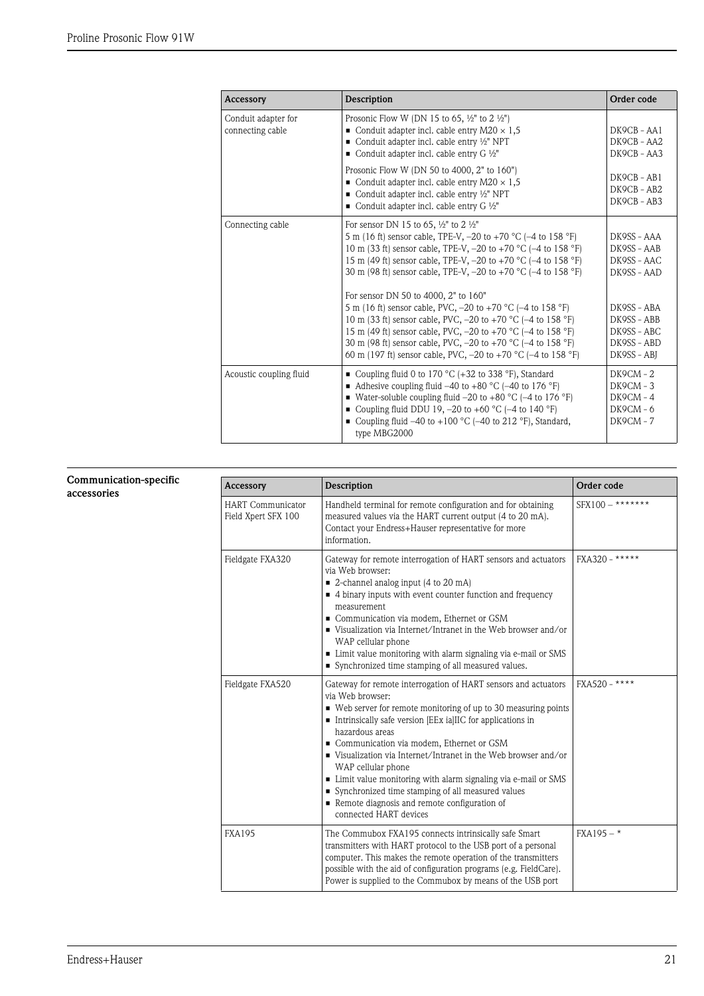<span id="page-20-1"></span>

| Accessory                               | <b>Description</b>                                                                                                                                                                                                                                                                                                                                                                                                                                                                                                                                                                                                                                                                                                                      | Order code                                                                                                                          |
|-----------------------------------------|-----------------------------------------------------------------------------------------------------------------------------------------------------------------------------------------------------------------------------------------------------------------------------------------------------------------------------------------------------------------------------------------------------------------------------------------------------------------------------------------------------------------------------------------------------------------------------------------------------------------------------------------------------------------------------------------------------------------------------------------|-------------------------------------------------------------------------------------------------------------------------------------|
| Conduit adapter for<br>connecting cable | Prosonic Flow W (DN 15 to 65, $\frac{1}{2}$ " to 2 $\frac{1}{2}$ ")<br>• Conduit adapter incl. cable entry $M20 \times 1,5$<br>Conduit adapter incl. cable entry $\frac{1}{2}$ " NPT<br>■ Conduit adapter incl. cable entry G $\frac{1}{2}$ "                                                                                                                                                                                                                                                                                                                                                                                                                                                                                           | DK9CB - AA1<br>DK9CB - AA2<br>DK9CB - AA3                                                                                           |
|                                         | Prosonic Flow W (DN 50 to 4000, 2" to 160")<br>• Conduit adapter incl. cable entry M20 $\times$ 1.5<br>Conduit adapter incl. cable entry $\frac{1}{2}$ " NPT<br>Conduit adapter incl. cable entry G $\frac{1}{2}$ "                                                                                                                                                                                                                                                                                                                                                                                                                                                                                                                     | DK9CB-AB1<br>DK9CB - AB2<br>DK9CB - AB3                                                                                             |
| Connecting cable                        | For sensor DN 15 to 65, $\frac{1}{2}$ " to 2 $\frac{1}{2}$ "<br>5 m (16 ft) sensor cable, TPE-V, -20 to +70 °C (-4 to 158 °F)<br>10 m (33 ft) sensor cable, TPE-V, -20 to +70 °C (-4 to 158 °F)<br>15 m (49 ft) sensor cable, TPE-V, -20 to +70 °C (-4 to 158 °F)<br>30 m (98 ft) sensor cable, TPE-V, -20 to +70 °C (-4 to 158 °F)<br>For sensor DN 50 to 4000, 2" to 160"<br>5 m (16 ft) sensor cable, PVC, $-20$ to $+70$ °C ( $-4$ to 158 °F)<br>10 m (33 ft) sensor cable, PVC, $-20$ to $+70$ °C ( $-4$ to 158 °F)<br>15 m (49 ft) sensor cable, PVC, -20 to +70 °C (-4 to 158 °F)<br>30 m (98 ft) sensor cable, PVC, $-20$ to $+70$ °C ( $-4$ to 158 °F)<br>60 m (197 ft) sensor cable, PVC, $-20$ to $+70$ °C ( $-4$ to 158 °F) | DK9SS - AAA<br>DK9SS - AAB<br>DK9SS - AAC<br>DK9SS - AAD<br>DK9SS - ABA<br>DK9SS - ABB<br>DK9SS - ABC<br>DK9SS - ABD<br>DK9SS - ABI |
| Acoustic coupling fluid                 | ■ Coupling fluid 0 to 170 °C (+32 to 338 °F), Standard<br>■ Adhesive coupling fluid $-40$ to $+80$ °C ( $-40$ to 176 °F)<br>■ Water-soluble coupling fluid $-20$ to $+80$ °C ( $-4$ to 176 °F)<br>■ Coupling fluid DDU 19, $-20$ to $+60$ °C ( $-4$ to 140 °F)<br>■ Coupling fluid $-40$ to $+100$ °C ( $-40$ to 212 °F), Standard,<br>type MBG2000                                                                                                                                                                                                                                                                                                                                                                                     | $DK9CM - 2$<br>$DK9CM - 3$<br>$DK9CM - 4$<br>$DK9CM - 6$<br>$DK9CM - 7$                                                             |

### <span id="page-20-0"></span>Communication-specific accessories

| Accessory                                       | <b>Description</b>                                                                                                                                                                                                                                                                                                                                                                                                                                                                                                                                                                  | Order code         |
|-------------------------------------------------|-------------------------------------------------------------------------------------------------------------------------------------------------------------------------------------------------------------------------------------------------------------------------------------------------------------------------------------------------------------------------------------------------------------------------------------------------------------------------------------------------------------------------------------------------------------------------------------|--------------------|
| <b>HART</b> Communicator<br>Field Xpert SFX 100 | Handheld terminal for remote configuration and for obtaining<br>measured values via the HART current output (4 to 20 mA).<br>Contact your Endress+Hauser representative for more<br>information.                                                                                                                                                                                                                                                                                                                                                                                    | $SFX100 -$ ******* |
| Fieldgate FXA320                                | Gateway for remote interrogation of HART sensors and actuators<br>via Web browser:<br>■ 2-channel analog input (4 to 20 mA)<br>• 4 binary inputs with event counter function and frequency<br>measurement<br>Communication via modem, Ethernet or GSM<br>■ Visualization via Internet/Intranet in the Web browser and/or<br>WAP cellular phone<br>• Limit value monitoring with alarm signaling via e-mail or SMS<br>Synchronized time stamping of all measured values.                                                                                                             | FXA320 - *****     |
| Fieldgate FXA520                                | Gateway for remote interrogation of HART sensors and actuators<br>via Web browser:<br>• Web server for remote monitoring of up to 30 measuring points<br>• Intrinsically safe version [EEx ia]IIC for applications in<br>hazardous areas<br>• Communication via modem, Ethernet or GSM<br>■ Visualization via Internet/Intranet in the Web browser and/or<br>WAP cellular phone<br>• Limit value monitoring with alarm signaling via e-mail or SMS<br>• Synchronized time stamping of all measured values<br>Remote diagnosis and remote configuration of<br>connected HART devices | FXA520 - ****      |
| <b>FXA195</b>                                   | The Commubox FXA195 connects intrinsically safe Smart<br>transmitters with HART protocol to the USB port of a personal<br>computer. This makes the remote operation of the transmitters<br>possible with the aid of configuration programs (e.g. FieldCare).<br>Power is supplied to the Commubox by means of the USB port                                                                                                                                                                                                                                                          | $FXA195 -$ *       |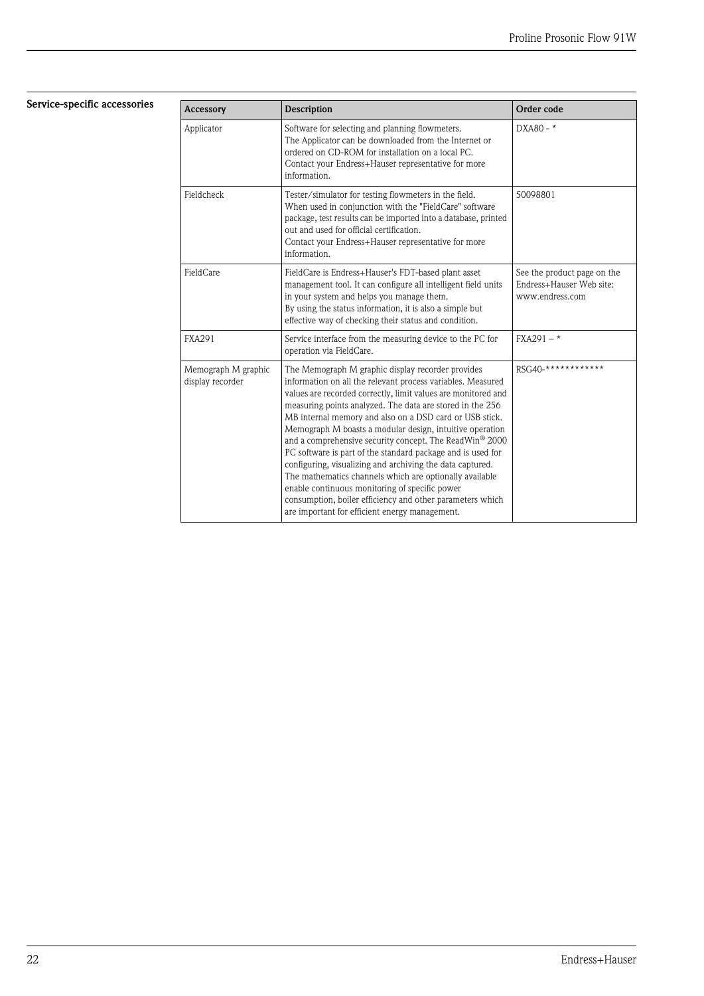<span id="page-21-0"></span>Service-specific accessories

| Accessory                               | <b>Description</b>                                                                                                                                                                                                                                                                                                                                                                                                                                                                                                                                                                                                                                                                                                                                                                                   | Order code                                                                 |
|-----------------------------------------|------------------------------------------------------------------------------------------------------------------------------------------------------------------------------------------------------------------------------------------------------------------------------------------------------------------------------------------------------------------------------------------------------------------------------------------------------------------------------------------------------------------------------------------------------------------------------------------------------------------------------------------------------------------------------------------------------------------------------------------------------------------------------------------------------|----------------------------------------------------------------------------|
| Applicator                              | Software for selecting and planning flowmeters.<br>The Applicator can be downloaded from the Internet or<br>ordered on CD-ROM for installation on a local PC.<br>Contact your Endress+Hauser representative for more<br>information.                                                                                                                                                                                                                                                                                                                                                                                                                                                                                                                                                                 | $DXA80 - *$                                                                |
| Fieldcheck                              | Tester/simulator for testing flowmeters in the field.<br>When used in conjunction with the "FieldCare" software<br>package, test results can be imported into a database, printed<br>out and used for official certification.<br>Contact your Endress+Hauser representative for more<br>information.                                                                                                                                                                                                                                                                                                                                                                                                                                                                                                 | 50098801                                                                   |
| FieldCare                               | FieldCare is Endress+Hauser's FDT-based plant asset<br>management tool. It can configure all intelligent field units<br>in your system and helps you manage them.<br>By using the status information, it is also a simple but<br>effective way of checking their status and condition.                                                                                                                                                                                                                                                                                                                                                                                                                                                                                                               | See the product page on the<br>Endress+Hauser Web site:<br>www.endress.com |
| <b>FXA291</b>                           | Service interface from the measuring device to the PC for<br>operation via FieldCare.                                                                                                                                                                                                                                                                                                                                                                                                                                                                                                                                                                                                                                                                                                                | $FXA291 -$ *                                                               |
| Memograph M graphic<br>display recorder | The Memograph M graphic display recorder provides<br>information on all the relevant process variables. Measured<br>values are recorded correctly, limit values are monitored and<br>measuring points analyzed. The data are stored in the 256<br>MB internal memory and also on a DSD card or USB stick.<br>Memograph M boasts a modular design, intuitive operation<br>and a comprehensive security concept. The ReadWin <sup>®</sup> 2000<br>PC software is part of the standard package and is used for<br>configuring, visualizing and archiving the data captured.<br>The mathematics channels which are optionally available<br>enable continuous monitoring of specific power<br>consumption, boiler efficiency and other parameters which<br>are important for efficient energy management. | RSG40-*************                                                        |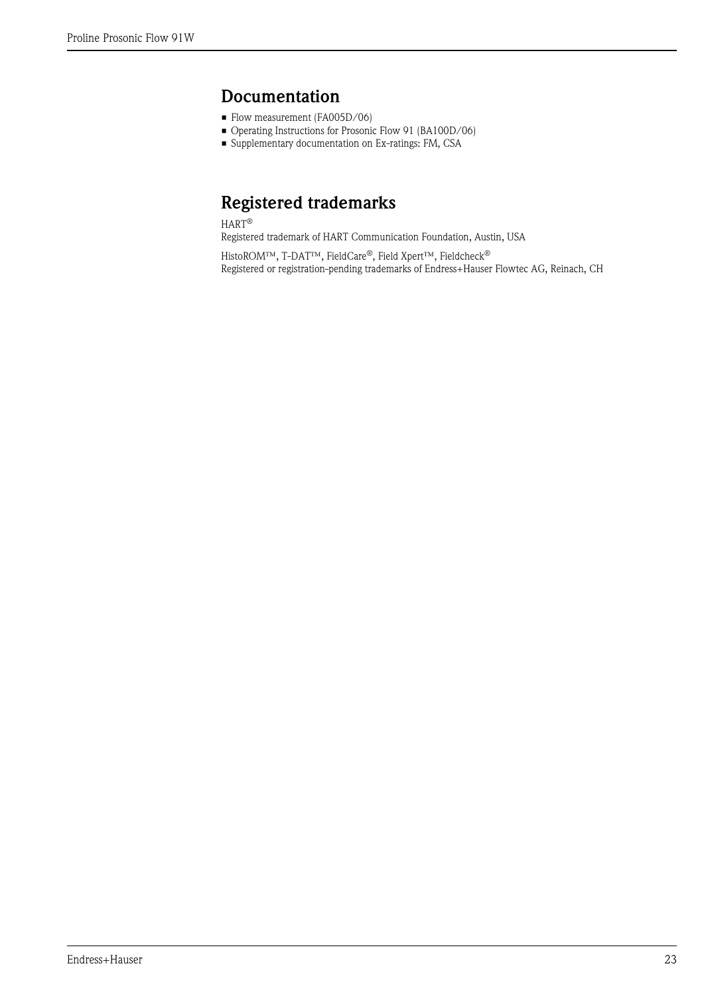## <span id="page-22-0"></span>Documentation

- Flow measurement (FA005D/06)
- Operating Instructions for Prosonic Flow 91 (BA100D/06)
- Supplementary documentation on Ex-ratings: FM, CSA

# <span id="page-22-1"></span>Registered trademarks

HART®

Registered trademark of HART Communication Foundation, Austin, USA

HistoROM™, T-DAT™, FieldCare®, Field Xpert™, Fieldcheck® Registered or registration-pending trademarks of Endress+Hauser Flowtec AG, Reinach, CH